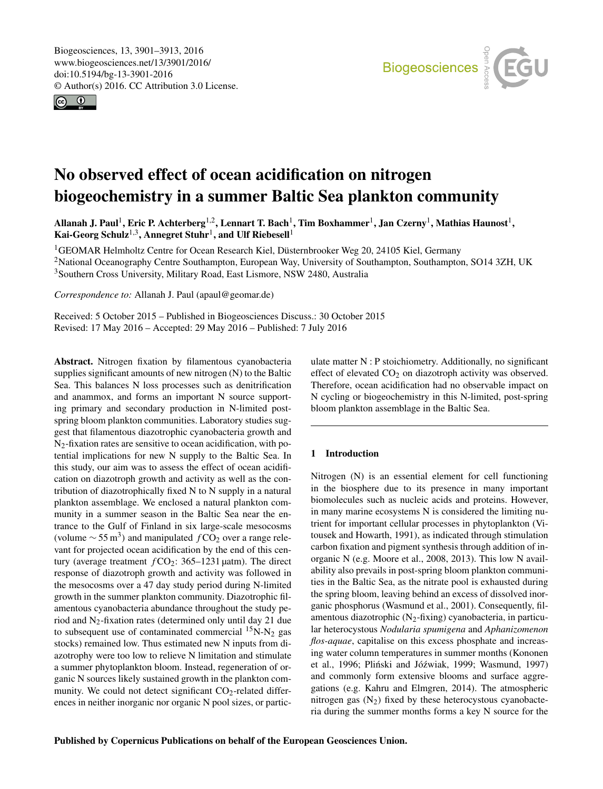<span id="page-0-1"></span>Biogeosciences, 13, 3901–3913, 2016 www.biogeosciences.net/13/3901/2016/ doi:10.5194/bg-13-3901-2016 © Author(s) 2016. CC Attribution 3.0 License.





# No observed effect of ocean acidification on nitrogen biogeochemistry in a summer Baltic Sea plankton community

Allanah J. Paul $^1$  $^1$ , Eric P. Achterberg $^{1,2}$  $^{1,2}$  $^{1,2}$ , Lennart T. Bach $^1$ , Tim Boxhammer $^1$ , Jan Czerny $^1$ , Mathias Haunost $^1$ , Kai-Georg Schulz<sup>[1,3](#page-0-0)</sup>, Annegret Stuhr<sup>[1](#page-0-0)</sup>, and Ulf Riebesell<sup>1</sup>

<sup>1</sup>GEOMAR Helmholtz Centre for Ocean Research Kiel, Düsternbrooker Weg 20, 24105 Kiel, Germany <sup>2</sup>National Oceanography Centre Southampton, European Way, University of Southampton, Southampton, SO14 3ZH, UK <sup>3</sup>Southern Cross University, Military Road, East Lismore, NSW 2480, Australia

*Correspondence to:* Allanah J. Paul (apaul@geomar.de)

Received: 5 October 2015 – Published in Biogeosciences Discuss.: 30 October 2015 Revised: 17 May 2016 – Accepted: 29 May 2016 – Published: 7 July 2016

<span id="page-0-0"></span>Abstract. Nitrogen fixation by filamentous cyanobacteria supplies significant amounts of new nitrogen (N) to the Baltic Sea. This balances N loss processes such as denitrification and anammox, and forms an important N source supporting primary and secondary production in N-limited postspring bloom plankton communities. Laboratory studies suggest that filamentous diazotrophic cyanobacteria growth and N2-fixation rates are sensitive to ocean acidification, with potential implications for new N supply to the Baltic Sea. In this study, our aim was to assess the effect of ocean acidification on diazotroph growth and activity as well as the contribution of diazotrophically fixed N to N supply in a natural plankton assemblage. We enclosed a natural plankton community in a summer season in the Baltic Sea near the entrance to the Gulf of Finland in six large-scale mesocosms (volume  $\sim$  55 m<sup>3</sup>) and manipulated  $fCO_2$  over a range relevant for projected ocean acidification by the end of this century (average treatment  $fCO_2$ : 365–1231 µatm). The direct response of diazotroph growth and activity was followed in the mesocosms over a 47 day study period during N-limited growth in the summer plankton community. Diazotrophic filamentous cyanobacteria abundance throughout the study period and  $N_2$ -fixation rates (determined only until day 21 due to subsequent use of contaminated commercial  ${}^{15}N-N_2$  gas stocks) remained low. Thus estimated new N inputs from diazotrophy were too low to relieve N limitation and stimulate a summer phytoplankton bloom. Instead, regeneration of organic N sources likely sustained growth in the plankton community. We could not detect significant  $CO<sub>2</sub>$ -related differences in neither inorganic nor organic N pool sizes, or particulate matter N : P stoichiometry. Additionally, no significant effect of elevated  $CO<sub>2</sub>$  on diazotroph activity was observed. Therefore, ocean acidification had no observable impact on N cycling or biogeochemistry in this N-limited, post-spring bloom plankton assemblage in the Baltic Sea.

# 1 Introduction

Nitrogen (N) is an essential element for cell functioning in the biosphere due to its presence in many important biomolecules such as nucleic acids and proteins. However, in many marine ecosystems N is considered the limiting nutrient for important cellular processes in phytoplankton (Vitousek and Howarth, 1991), as indicated through stimulation carbon fixation and pigment synthesis through addition of inorganic N (e.g. Moore et al., 2008, 2013). This low N availability also prevails in post-spring bloom plankton communities in the Baltic Sea, as the nitrate pool is exhausted during the spring bloom, leaving behind an excess of dissolved inorganic phosphorus (Wasmund et al., 2001). Consequently, filamentous diazotrophic  $(N_2$ -fixing) cyanobacteria, in particular heterocystous *Nodularia spumigena* and *Aphanizomenon flos-aquae*, capitalise on this excess phosphate and increasing water column temperatures in summer months (Kononen et al., 1996; Pliński and Jóźwiak, 1999; Wasmund, 1997) and commonly form extensive blooms and surface aggregations (e.g. Kahru and Elmgren, 2014). The atmospheric nitrogen gas  $(N_2)$  fixed by these heterocystous cyanobacteria during the summer months forms a key N source for the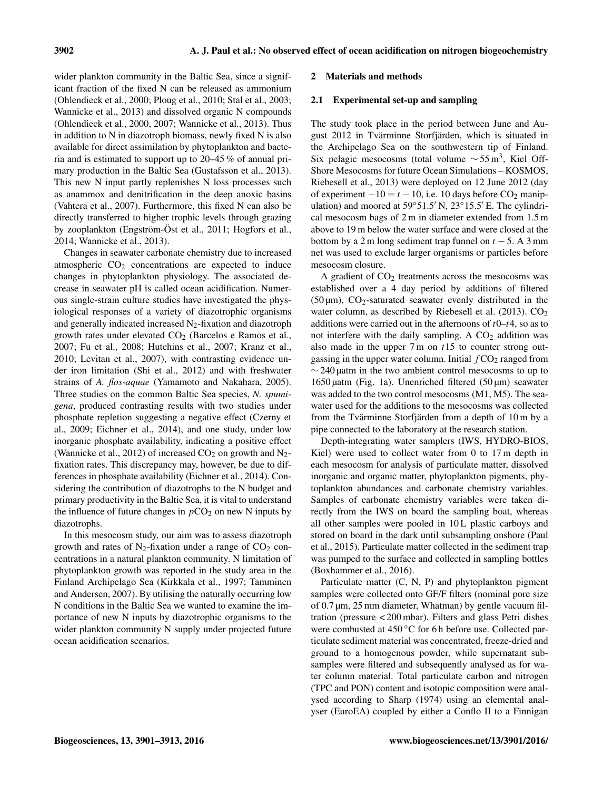wider plankton community in the Baltic Sea, since a significant fraction of the fixed N can be released as ammonium (Ohlendieck et al., 2000; Ploug et al., 2010; Stal et al., 2003; Wannicke et al., 2013) and dissolved organic N compounds (Ohlendieck et al., 2000, 2007; Wannicke et al., 2013). Thus in addition to N in diazotroph biomass, newly fixed N is also available for direct assimilation by phytoplankton and bacteria and is estimated to support up to 20–45 % of annual primary production in the Baltic Sea (Gustafsson et al., 2013). This new N input partly replenishes N loss processes such as anammox and denitrification in the deep anoxic basins (Vahtera et al., 2007). Furthermore, this fixed N can also be directly transferred to higher trophic levels through grazing by zooplankton (Engström-Öst et al., 2011; Hogfors et al., 2014; Wannicke et al., 2013).

Changes in seawater carbonate chemistry due to increased atmospheric  $CO<sub>2</sub>$  concentrations are expected to induce changes in phytoplankton physiology. The associated decrease in seawater pH is called ocean acidification. Numerous single-strain culture studies have investigated the physiological responses of a variety of diazotrophic organisms and generally indicated increased  $N_2$ -fixation and diazotroph growth rates under elevated CO<sup>2</sup> (Barcelos e Ramos et al., 2007; Fu et al., 2008; Hutchins et al., 2007; Kranz et al., 2010; Levitan et al., 2007), with contrasting evidence under iron limitation (Shi et al., 2012) and with freshwater strains of *A. flos-aquae* (Yamamoto and Nakahara, 2005). Three studies on the common Baltic Sea species, *N. spumigena*, produced contrasting results with two studies under phosphate repletion suggesting a negative effect (Czerny et al., 2009; Eichner et al., 2014), and one study, under low inorganic phosphate availability, indicating a positive effect (Wannicke et al., 2012) of increased  $CO<sub>2</sub>$  on growth and  $N<sub>2</sub>$ fixation rates. This discrepancy may, however, be due to differences in phosphate availability (Eichner et al., 2014). Considering the contribution of diazotrophs to the N budget and primary productivity in the Baltic Sea, it is vital to understand the influence of future changes in  $pCO<sub>2</sub>$  on new N inputs by diazotrophs.

In this mesocosm study, our aim was to assess diazotroph growth and rates of  $N_2$ -fixation under a range of  $CO_2$  concentrations in a natural plankton community. N limitation of phytoplankton growth was reported in the study area in the Finland Archipelago Sea (Kirkkala et al., 1997; Tamminen and Andersen, 2007). By utilising the naturally occurring low N conditions in the Baltic Sea we wanted to examine the importance of new N inputs by diazotrophic organisms to the wider plankton community N supply under projected future ocean acidification scenarios.

#### 2 Materials and methods

#### 2.1 Experimental set-up and sampling

The study took place in the period between June and August 2012 in Tvärminne Storfjärden, which is situated in the Archipelago Sea on the southwestern tip of Finland. Six pelagic mesocosms (total volume  $\sim$  55 m<sup>3</sup>, Kiel Off-Shore Mesocosms for future Ocean Simulations – KOSMOS, Riebesell et al., 2013) were deployed on 12 June 2012 (day of experiment  $-10 = t - 10$ , i.e. 10 days before CO<sub>2</sub> manipulation) and moored at  $59°51.5'$  N,  $23°15.5'E$ . The cylindrical mesocosm bags of 2 m in diameter extended from 1.5 m above to 19 m below the water surface and were closed at the bottom by a 2 m long sediment trap funnel on  $t - 5$ . A 3 mm net was used to exclude larger organisms or particles before mesocosm closure.

A gradient of  $CO<sub>2</sub>$  treatments across the mesocosms was established over a 4 day period by additions of filtered (50  $\mu$ m), CO<sub>2</sub>-saturated seawater evenly distributed in the water column, as described by Riebesell et al.  $(2013)$ .  $CO<sub>2</sub>$ additions were carried out in the afternoons of  $t0-t4$ , so as to not interfere with the daily sampling. A  $CO<sub>2</sub>$  addition was also made in the upper  $7 \text{ m}$  on  $t15$  to counter strong outgassing in the upper water column. Initial  $fCO<sub>2</sub>$  ranged from  $\sim$  240 µatm in the two ambient control mesocosms to up to 1650 µatm (Fig. 1a). Unenriched filtered (50 µm) seawater was added to the two control mesocosms (M1, M5). The seawater used for the additions to the mesocosms was collected from the Tvärminne Storfjärden from a depth of 10 m by a pipe connected to the laboratory at the research station.

Depth-integrating water samplers (IWS, HYDRO-BIOS, Kiel) were used to collect water from 0 to 17 m depth in each mesocosm for analysis of particulate matter, dissolved inorganic and organic matter, phytoplankton pigments, phytoplankton abundances and carbonate chemistry variables. Samples of carbonate chemistry variables were taken directly from the IWS on board the sampling boat, whereas all other samples were pooled in 10L plastic carboys and stored on board in the dark until subsampling onshore (Paul et al., 2015). Particulate matter collected in the sediment trap was pumped to the surface and collected in sampling bottles (Boxhammer et al., 2016).

Particulate matter (C, N, P) and phytoplankton pigment samples were collected onto GF/F filters (nominal pore size of 0.7 µm, 25 mm diameter, Whatman) by gentle vacuum filtration (pressure < 200 mbar). Filters and glass Petri dishes were combusted at 450 ℃ for 6 h before use. Collected particulate sediment material was concentrated, freeze-dried and ground to a homogenous powder, while supernatant subsamples were filtered and subsequently analysed as for water column material. Total particulate carbon and nitrogen (TPC and PON) content and isotopic composition were analysed according to Sharp (1974) using an elemental analyser (EuroEA) coupled by either a Conflo II to a Finnigan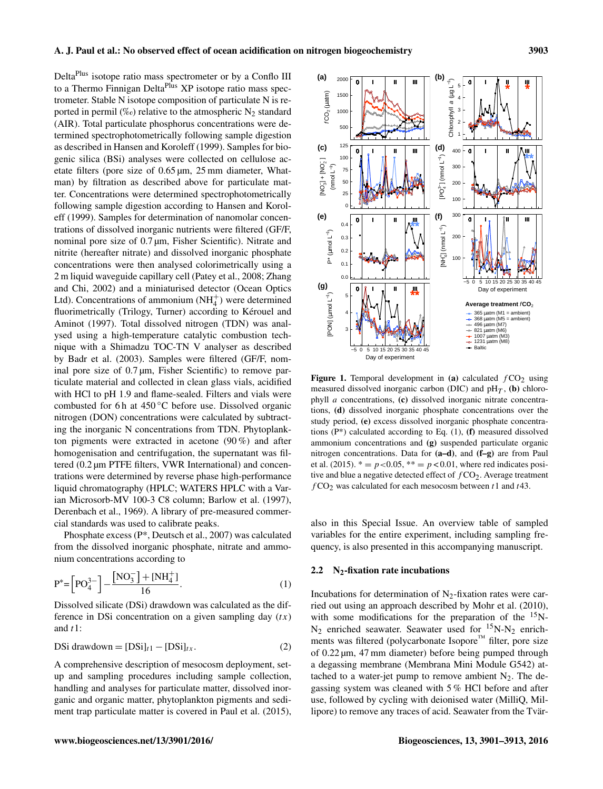Delta<sup>Plus</sup> isotope ratio mass spectrometer or by a Conflo III to a Thermo Finnigan Delta<sup>Plus</sup> XP isotope ratio mass spectrometer. Stable N isotope composition of particulate N is reported in permil (‰) relative to the atmospheric  $N_2$  standard (AIR). Total particulate phosphorus concentrations were determined spectrophotometrically following sample digestion as described in Hansen and Koroleff (1999). Samples for biogenic silica (BSi) analyses were collected on cellulose acetate filters (pore size of  $0.65 \,\text{\mbox{\textmu}}$ , 25 mm diameter, Whatman) by filtration as described above for particulate matter. Concentrations were determined spectrophotometrically following sample digestion according to Hansen and Koroleff (1999). Samples for determination of nanomolar concentrations of dissolved inorganic nutrients were filtered (GF/F, nominal pore size of 0.7 µm, Fisher Scientific). Nitrate and nitrite (hereafter nitrate) and dissolved inorganic phosphate concentrations were then analysed colorimetrically using a 2 m liquid waveguide capillary cell (Patey et al., 2008; Zhang and Chi, 2002) and a miniaturised detector (Ocean Optics Ltd). Concentrations of ammonium  $(NH_4^+)$  were determined fluorimetrically (Trilogy, Turner) according to Kérouel and Aminot (1997). Total dissolved nitrogen (TDN) was analysed using a high-temperature catalytic combustion technique with a Shimadzu TOC-TN V analyser as described by Badr et al. (2003). Samples were filtered (GF/F, nominal pore size of 0.7 µm, Fisher Scientific) to remove particulate material and collected in clean glass vials, acidified with HCl to pH 1.9 and flame-sealed. Filters and vials were combusted for 6 h at 450 °C before use. Dissolved organic nitrogen (DON) concentrations were calculated by subtracting the inorganic N concentrations from TDN. Phytoplankton pigments were extracted in acetone (90 %) and after homogenisation and centrifugation, the supernatant was filtered (0.2 µm PTFE filters, VWR International) and concentrations were determined by reverse phase high-performance liquid chromatography (HPLC; WATERS HPLC with a Varian Microsorb-MV 100-3 C8 column; Barlow et al. (1997), Derenbach et al., 1969). A library of pre-measured commercial standards was used to calibrate peaks.

Phosphate excess (P\*, Deutsch et al., 2007) was calculated from the dissolved inorganic phosphate, nitrate and ammonium concentrations according to

$$
P^* = \left[ PO_4^{3-} \right] - \frac{\left[ NO_3^- \right] + \left[ NH_4^+ \right]}{16}.
$$
 (1)

Dissolved silicate (DSi) drawdown was calculated as the difference in DSi concentration on a given sampling day  $(tx)$ and  $t1$ :

$$
DSi \, \text{drawdown} = [DSi]_{t1} - [DSi]_{tx}. \tag{2}
$$

A comprehensive description of mesocosm deployment, setup and sampling procedures including sample collection, handling and analyses for particulate matter, dissolved inorganic and organic matter, phytoplankton pigments and sediment trap particulate matter is covered in Paul et al. (2015),

Day of experiment **Figure 1.** Temporal development in (a) calculated  $fCO<sub>2</sub>$  using measured dissolved inorganic carbon (DIC) and  $pH<sub>T</sub>$ , (b) chlorophyll a concentrations, (c) dissolved inorganic nitrate concentrations, (d) dissolved inorganic phosphate concentrations over the study period, (e) excess dissolved inorganic phosphate concentrations  $(P^*)$  calculated according to Eq.  $(1)$ ,  $(f)$  measured dissolved ammonium concentrations and (g) suspended particulate organic nitrogen concentrations. Data for (a–d), and (f–g) are from Paul et al. (2015).  $* = p < 0.05$ ,  $* = p < 0.01$ , where red indicates positive and blue a negative detected effect of  $fCO<sub>2</sub>$ . Average treatment  $fCO<sub>2</sub>$  was calculated for each mesocosm between t1 and t43.

also in this Special Issue. An overview table of sampled variables for the entire experiment, including sampling frequency, is also presented in this accompanying manuscript.

#### 2.2  $N_2$ -fixation rate incubations

Incubations for determination of  $N_2$ -fixation rates were carried out using an approach described by Mohr et al. (2010), with some modifications for the preparation of the  $15N$ - $N_2$  enriched seawater. Seawater used for  $15N-N_2$  enrichments was filtered (polycarbonate Isopore™ filter, pore size of 0.22 µm, 47 mm diameter) before being pumped through a degassing membrane (Membrana Mini Module G542) attached to a water-jet pump to remove ambient  $N_2$ . The degassing system was cleaned with 5 % HCl before and after use, followed by cycling with deionised water (MilliQ, Millipore) to remove any traces of acid. Seawater from the Tvär-

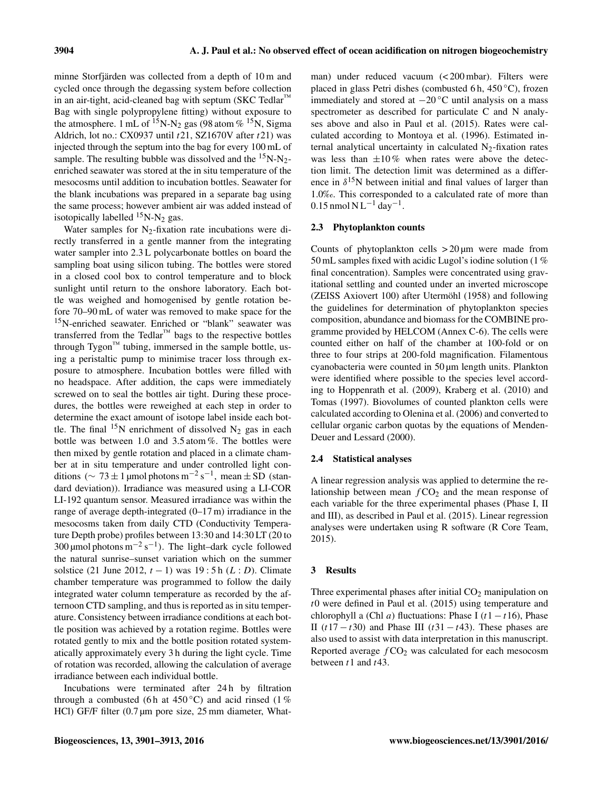minne Storfjärden was collected from a depth of 10 m and cycled once through the degassing system before collection in an air-tight, acid-cleaned bag with septum (SKC Tedlar™ Bag with single polypropylene fitting) without exposure to the atmosphere. 1 mL of  ${}^{15}N-N_2$  gas (98 atom %  ${}^{15}N$ , Sigma Aldrich, lot no.: CX0937 until  $t21$ , SZ1670V after  $t21$ ) was injected through the septum into the bag for every 100 mL of sample. The resulting bubble was dissolved and the  ${}^{15}N-N_2$ enriched seawater was stored at the in situ temperature of the mesocosms until addition to incubation bottles. Seawater for the blank incubations was prepared in a separate bag using the same process; however ambient air was added instead of isotopically labelled  ${}^{15}N-N_2$  gas.

Water samples for  $N_2$ -fixation rate incubations were directly transferred in a gentle manner from the integrating water sampler into 2.3 L polycarbonate bottles on board the sampling boat using silicon tubing. The bottles were stored in a closed cool box to control temperature and to block sunlight until return to the onshore laboratory. Each bottle was weighed and homogenised by gentle rotation before 70–90 mL of water was removed to make space for the <sup>15</sup>N-enriched seawater. Enriched or "blank" seawater was transferred from the Tedlar<sup>™</sup> bags to the respective bottles through Tygon $^{\text{TM}}$  tubing, immersed in the sample bottle, using a peristaltic pump to minimise tracer loss through exposure to atmosphere. Incubation bottles were filled with no headspace. After addition, the caps were immediately screwed on to seal the bottles air tight. During these procedures, the bottles were reweighed at each step in order to determine the exact amount of isotope label inside each bottle. The final  $15N$  enrichment of dissolved N<sub>2</sub> gas in each bottle was between 1.0 and 3.5 atom %. The bottles were then mixed by gentle rotation and placed in a climate chamber at in situ temperature and under controlled light conditions ( $\sim$  73 ± 1 µmol photons m<sup>-2</sup> s<sup>-1</sup>, mean ± SD (standard deviation)). Irradiance was measured using a LI-COR LI-192 quantum sensor. Measured irradiance was within the range of average depth-integrated (0–17 m) irradiance in the mesocosms taken from daily CTD (Conductivity Temperature Depth probe) profiles between 13:30 and 14:30 LT (20 to 300 µmol photons  $m^{-2} s^{-1}$ ). The light–dark cycle followed the natural sunrise–sunset variation which on the summer solstice (21 June 2012,  $t - 1$ ) was 19 : 5 h ( $L : D$ ). Climate chamber temperature was programmed to follow the daily integrated water column temperature as recorded by the afternoon CTD sampling, and thus is reported as in situ temperature. Consistency between irradiance conditions at each bottle position was achieved by a rotation regime. Bottles were rotated gently to mix and the bottle position rotated systematically approximately every 3 h during the light cycle. Time of rotation was recorded, allowing the calculation of average irradiance between each individual bottle.

Incubations were terminated after 24 h by filtration through a combusted (6 h at 450 °C) and acid rinsed (1 % HCl) GF/F filter (0.7 µm pore size, 25 mm diameter, Whatman) under reduced vacuum (< 200 mbar). Filters were placed in glass Petri dishes (combusted 6 h, 450 ◦C), frozen immediately and stored at  $-20\degree$ C until analysis on a mass spectrometer as described for particulate C and N analyses above and also in Paul et al. (2015). Rates were calculated according to Montoya et al. (1996). Estimated internal analytical uncertainty in calculated  $N_2$ -fixation rates was less than  $\pm 10\%$  when rates were above the detection limit. The detection limit was determined as a difference in  $\delta^{15}$ N between initial and final values of larger than 1.0‰. This corresponded to a calculated rate of more than  $0.15$  nmol N L<sup>-1</sup> day<sup>-1</sup>.

## 2.3 Phytoplankton counts

Counts of phytoplankton cells  $> 20 \mu m$  were made from 50 mL samples fixed with acidic Lugol's iodine solution (1 % final concentration). Samples were concentrated using gravitational settling and counted under an inverted microscope (ZEISS Axiovert 100) after Utermöhl (1958) and following the guidelines for determination of phytoplankton species composition, abundance and biomass for the COMBINE programme provided by HELCOM (Annex C-6). The cells were counted either on half of the chamber at 100-fold or on three to four strips at 200-fold magnification. Filamentous cyanobacteria were counted in 50 µm length units. Plankton were identified where possible to the species level according to Hoppenrath et al. (2009), Kraberg et al. (2010) and Tomas (1997). Biovolumes of counted plankton cells were calculated according to Olenina et al. (2006) and converted to cellular organic carbon quotas by the equations of Menden-Deuer and Lessard (2000).

## 2.4 Statistical analyses

A linear regression analysis was applied to determine the relationship between mean  $fCO<sub>2</sub>$  and the mean response of each variable for the three experimental phases (Phase I, II and III), as described in Paul et al. (2015). Linear regression analyses were undertaken using R software (R Core Team, 2015).

## 3 Results

Three experimental phases after initial  $CO<sub>2</sub>$  manipulation on t0 were defined in Paul et al. (2015) using temperature and chlorophyll a (Chl a) fluctuations: Phase I  $(t1 - t16)$ , Phase II (t17 – t30) and Phase III (t31 – t43). These phases are also used to assist with data interpretation in this manuscript. Reported average  $fCO<sub>2</sub>$  was calculated for each mesocosm between  $t1$  and  $t43$ .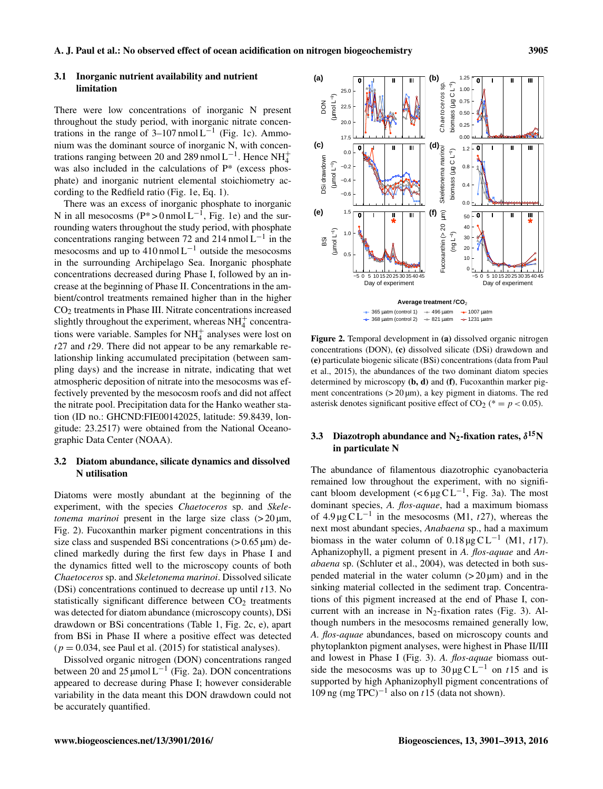# 3.1 Inorganic nutrient availability and nutrient limitation

There were low concentrations of inorganic N present throughout the study period, with inorganic nitrate concentrations in the range of  $3-107$  nmol L<sup>-1</sup> (Fig. 1c). Ammonium was the dominant source of inorganic N, with concentrations ranging between 20 and 289 nmol L<sup>-1</sup>. Hence NH<sup>+</sup><sub>4</sub> was also included in the calculations of P\* (excess phosphate) and inorganic nutrient elemental stoichiometry according to the Redfield ratio (Fig. 1e, Eq. 1).

There was an excess of inorganic phosphate to inorganic N in all mesocosms ( $P^* > 0$  nmol  $L^{-1}$ , Fig. 1e) and the surrounding waters throughout the study period, with phosphate concentrations ranging between 72 and 214 nmol  $L^{-1}$  in the mesocosms and up to  $410$  nmol L<sup>-1</sup> outside the mesocosms in the surrounding Archipelago Sea. Inorganic phosphate concentrations decreased during Phase I, followed by an increase at the beginning of Phase II. Concentrations in the ambient/control treatments remained higher than in the higher CO<sup>2</sup> treatments in Phase III. Nitrate concentrations increased slightly throughout the experiment, whereas  $NH<sub>4</sub><sup>+</sup>$  concentrations were variable. Samples for  $NH<sub>4</sub><sup>+</sup>$  analyses were lost on  $t27$  and  $t29$ . There did not appear to be any remarkable relationship linking accumulated precipitation (between sampling days) and the increase in nitrate, indicating that wet atmospheric deposition of nitrate into the mesocosms was effectively prevented by the mesocosm roofs and did not affect the nitrate pool. Precipitation data for the Hanko weather station (ID no.: GHCND:FIE00142025, latitude: 59.8439, longitude: 23.2517) were obtained from the National Oceanographic Data Center (NOAA).

# 3.2 Diatom abundance, silicate dynamics and dissolved N utilisation

Diatoms were mostly abundant at the beginning of the experiment, with the species *Chaetoceros* sp. and *Skeletonema marinoi* present in the large size class (> 20  $\mu$ m, Fig. 2). Fucoxanthin marker pigment concentrations in this size class and suspended BSi concentrations  $(> 0.65 \,\mu m)$  declined markedly during the first few days in Phase I and the dynamics fitted well to the microscopy counts of both *Chaetoceros* sp. and *Skeletonema marinoi*. Dissolved silicate (DSi) concentrations continued to decrease up until  $t13$ . No statistically significant difference between  $CO<sub>2</sub>$  treatments was detected for diatom abundance (microscopy counts), DSi drawdown or BSi concentrations (Table 1, Fig. 2c, e), apart from BSi in Phase II where a positive effect was detected  $(p = 0.034, \text{ see Paul et al.} (2015) \text{ for statistical analyses}).$ 

Dissolved organic nitrogen (DON) concentrations ranged between 20 and 25 µmol  $L^{-1}$  (Fig. 2a). DON concentrations appeared to decrease during Phase I; however considerable variability in the data meant this DON drawdown could not be accurately quantified.



Figure 2. Temporal development in (a) dissolved organic nitrogen concentrations (DON), (c) dissolved silicate (DSi) drawdown and (e) particulate biogenic silicate (BSi) concentrations (data from Paul et al., 2015), the abundances of the two dominant diatom species determined by microscopy (b, d) and (f), Fucoxanthin marker pigment concentrations  $(20 \mu m)$ , a key pigment in diatoms. The red asterisk denotes significant positive effect of  $CO_2$  (\* =  $p$  < 0.05).

# 3.3 Diazotroph abundance and  $N_2$ -fixation rates,  $\delta^{15}N$ in particulate N

The abundance of filamentous diazotrophic cyanobacteria remained low throughout the experiment, with no significant bloom development ( $\lt 6 \mu g \tilde{C} L^{-1}$ , Fig. 3a). The most dominant species, *A. flos-aquae*, had a maximum biomass of 4.9  $\mu$ g CL<sup>-1</sup> in the mesocosms (M1, t27), whereas the next most abundant species, *Anabaena* sp., had a maximum biomass in the water column of  $0.18 \mu g CL^{-1}$  (M1, t17). Aphanizophyll, a pigment present in *A. flos-aquae* and *Anabaena* sp. (Schluter et al., 2004), was detected in both suspended material in the water column  $(20 \mu m)$  and in the sinking material collected in the sediment trap. Concentrations of this pigment increased at the end of Phase I, concurrent with an increase in  $N_2$ -fixation rates (Fig. 3). Although numbers in the mesocosms remained generally low, *A. flos-aquae* abundances, based on microscopy counts and phytoplankton pigment analyses, were highest in Phase II/III and lowest in Phase I (Fig. 3). *A. flos-aquae* biomass outside the mesocosms was up to  $30 \mu g CL^{-1}$  on the t15 and is supported by high Aphanizophyll pigment concentrations of  $109$  ng (mg TPC)<sup>-1</sup> also on  $t15$  (data not shown).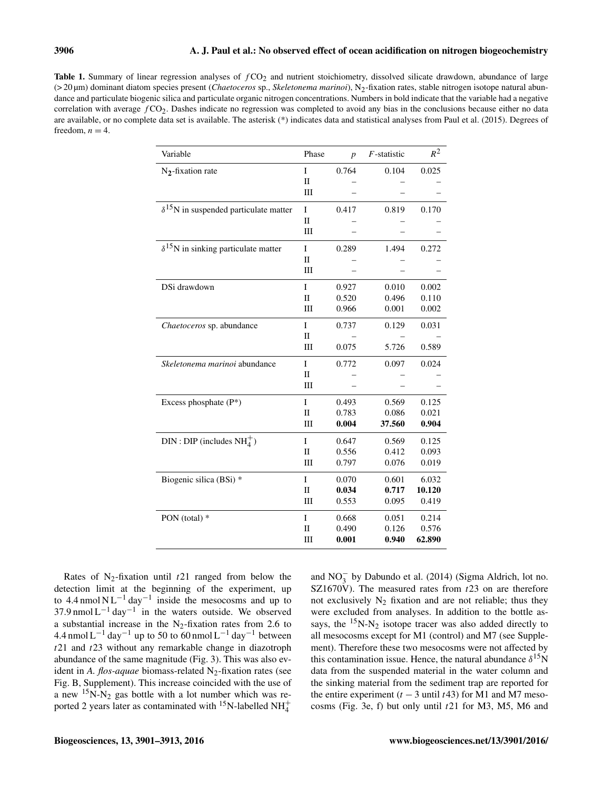**Table 1.** Summary of linear regression analyses of  $fCO<sub>2</sub>$  and nutrient stoichiometry, dissolved silicate drawdown, abundance of large (> 20 µm) dominant diatom species present (*Chaetoceros* sp., *Skeletonema marinoi*), N2-fixation rates, stable nitrogen isotope natural abundance and particulate biogenic silica and particulate organic nitrogen concentrations. Numbers in bold indicate that the variable had a negative correlation with average  $fCO<sub>2</sub>$ . Dashes indicate no regression was completed to avoid any bias in the conclusions because either no data are available, or no complete data set is available. The asterisk (\*) indicates data and statistical analyses from Paul et al. (2015). Degrees of freedom,  $n = 4$ .

| Variable                                        | Phase        | $\overline{p}$ | $F$ -statistic | $R^2$  |
|-------------------------------------------------|--------------|----------------|----------------|--------|
| N <sub>2</sub> -fixation rate                   | $\bf I$      | 0.764          | 0.104          | 0.025  |
|                                                 | $\mathbf I$  |                |                |        |
|                                                 | Ш            |                |                |        |
| $\delta^{15}$ N in suspended particulate matter | $\rm I$      | 0.417          | 0.819          | 0.170  |
|                                                 | $\mathbf I$  |                |                |        |
|                                                 | Ш            |                |                |        |
| $\delta^{15}$ N in sinking particulate matter   | I            | 0.289          | 1.494          | 0.272  |
|                                                 | $\mathbf{I}$ |                |                |        |
|                                                 | Ш            |                |                |        |
| DSi drawdown                                    | I            | 0.927          | 0.010          | 0.002  |
|                                                 | $\mathbf{I}$ | 0.520          | 0.496          | 0.110  |
|                                                 | Ш            | 0.966          | 0.001          | 0.002  |
| Chaetoceros sp. abundance                       | I            | 0.737          | 0.129          | 0.031  |
|                                                 | $\mathbf{I}$ |                |                |        |
|                                                 | Ш            | 0.075          | 5.726          | 0.589  |
| Skeletonema marinoi abundance                   | $\bf I$      | 0.772          | 0.097          | 0.024  |
|                                                 | $\mathbf I$  |                |                |        |
|                                                 | Ш            |                |                |        |
| Excess phosphate (P*)                           | $\mathbf{I}$ | 0.493          | 0.569          | 0.125  |
|                                                 | $\mathbf{I}$ | 0.783          | 0.086          | 0.021  |
|                                                 | III          | 0.004          | 37.560         | 0.904  |
| $DIN : DIP$ (includes $NH4+$ )                  | I            | 0.647          | 0.569          | 0.125  |
|                                                 | $\mathbf I$  | 0.556          | 0.412          | 0.093  |
|                                                 | Ш            | 0.797          | 0.076          | 0.019  |
| Biogenic silica (BSi) *                         | I            | 0.070          | 0.601          | 6.032  |
|                                                 | $\mathbf{I}$ | 0.034          | 0.717          | 10.120 |
|                                                 | Ш            | 0.553          | 0.095          | 0.419  |
| PON (total) *                                   | I            | 0.668          | 0.051          | 0.214  |
|                                                 | $\mathbf I$  | 0.490          | 0.126          | 0.576  |
|                                                 | Ш            | 0.001          | 0.940          | 62.890 |

Rates of  $N_2$ -fixation until t21 ranged from below the detection limit at the beginning of the experiment, up to  $4.4 \text{ nmol} \, \text{NL}^{-1} \, \text{day}^{-1}$  inside the mesocosms and up to 37.9 nmol  $L^{-1}$  day<sup>-1</sup> in the waters outside. We observed a substantial increase in the  $N_2$ -fixation rates from 2.6 to 4.4 nmol L<sup>-1</sup> day<sup>-1</sup> up to 50 to 60 nmol L<sup>-1</sup> day<sup>-1</sup> between  $t21$  and  $t23$  without any remarkable change in diazotroph abundance of the same magnitude (Fig. 3). This was also evident in *A. flos-aquae* biomass-related N<sub>2</sub>-fixation rates (see Fig. B, Supplement). This increase coincided with the use of a new  $15N-N_2$  gas bottle with a lot number which was reported 2 years later as contaminated with <sup>15</sup>N-labelled NH<sup>+</sup><sub>4</sub>

and NO<sup>−</sup> 3 by Dabundo et al. (2014) (Sigma Aldrich, lot no. SZ1670V). The measured rates from  $t23$  on are therefore not exclusively  $N_2$  fixation and are not reliable; thus they were excluded from analyses. In addition to the bottle assays, the  $15N-N_2$  isotope tracer was also added directly to all mesocosms except for M1 (control) and M7 (see Supplement). Therefore these two mesocosms were not affected by this contamination issue. Hence, the natural abundance  $\delta^{15}$ N data from the suspended material in the water column and the sinking material from the sediment trap are reported for the entire experiment  $(t - 3 \text{ until } t43)$  for M1 and M7 mesocosms (Fig. 3e, f) but only until  $t21$  for M3, M5, M6 and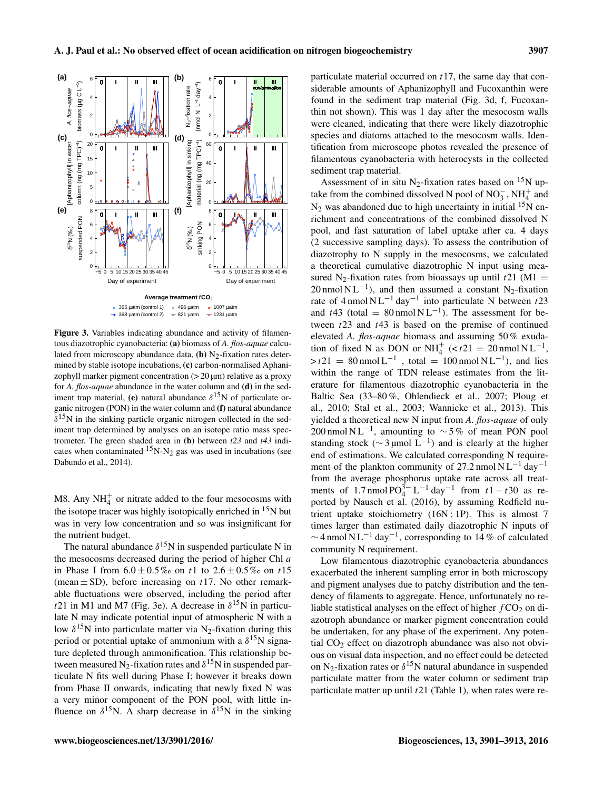

Figure 3. Variables indicating abundance and activity of filamentous diazotrophic cyanobacteria: (a) biomass of *A. flos-aquae* calculated from microscopy abundance data,  $(b)$  N<sub>2</sub>-fixation rates determined by stable isotope incubations, (c) carbon-normalised Aphanizophyll marker pigment concentration  $(20 \mu m)$  relative as a proxy for *A. flos-aquae* abundance in the water column and (d) in the sediment trap material, (e) natural abundance  $\delta^{15}$ N of particulate organic nitrogen (PON) in the water column and (f) natural abundance  $\delta^{15}$ N in the sinking particle organic nitrogen collected in the sediment trap determined by analyses on an isotope ratio mass spectrometer. The green shaded area in (b) between *t23* and *t43* indicates when contaminated  ${}^{15}N-N_2$  gas was used in incubations (see Dabundo et al., 2014).

M8. Any  $NH_4^+$  or nitrate added to the four mesocosms with the isotope tracer was highly isotopically enriched in  $15N$  but was in very low concentration and so was insignificant for the nutrient budget.

The natural abundance  $\delta^{15}N$  in suspended particulate N in the mesocosms decreased during the period of higher Chl a in Phase I from  $6.0 \pm 0.5\%$  on t1 to  $2.6 \pm 0.5\%$  on t15 (mean  $\pm$  SD), before increasing on t17. No other remarkable fluctuations were observed, including the period after t21 in M1 and M7 (Fig. 3e). A decrease in  $\delta^{15}N$  in particulate N may indicate potential input of atmospheric N with a low  $\delta^{15}$ N into particulate matter via N<sub>2</sub>-fixation during this period or potential uptake of ammonium with a  $\delta^{15}$ N signature depleted through ammonification. This relationship between measured N<sub>2</sub>-fixation rates and  $\delta^{15}$ N in suspended particulate N fits well during Phase I; however it breaks down from Phase II onwards, indicating that newly fixed N was a very minor component of the PON pool, with little influence on  $\delta^{15}N$ . A sharp decrease in  $\delta^{15}N$  in the sinking

particulate material occurred on  $t17$ , the same day that considerable amounts of Aphanizophyll and Fucoxanthin were found in the sediment trap material (Fig. 3d, f, Fucoxanthin not shown). This was 1 day after the mesocosm walls were cleaned, indicating that there were likely diazotrophic species and diatoms attached to the mesocosm walls. Identification from microscope photos revealed the presence of filamentous cyanobacteria with heterocysts in the collected sediment trap material.

Assessment of in situ N<sub>2</sub>-fixation rates based on  $^{15}N$  uptake from the combined dissolved N pool of NO<sub>3</sub>, NH<sup>+</sup><sub>4</sub> and  $N_2$  was abandoned due to high uncertainty in initial  $15N$  enrichment and concentrations of the combined dissolved N pool, and fast saturation of label uptake after ca. 4 days (2 successive sampling days). To assess the contribution of diazotrophy to N supply in the mesocosms, we calculated a theoretical cumulative diazotrophic N input using measured N<sub>2</sub>-fixation rates from bioassays up until  $t21$  (M1 = 20 nmol  $NL^{-1}$ ), and then assumed a constant N<sub>2</sub>-fixation rate of 4 nmol N L<sup>-1</sup> day<sup>-1</sup> into particulate N between  $t23$ and t43 (total =  $80 \text{ nmol} \text{N} \text{L}^{-1}$ ). The assessment for between  $t23$  and  $t43$  is based on the premise of continued elevated *A. flos-aquae* biomass and assuming 50 % exudation of fixed N as DON or NH<sup>+</sup><sub>4</sub>  $\left| \langle \epsilon t 21 \rangle = 20 \text{ nmol} \text{N} \text{L}^{-1} \right|$ ,  $> t21 = 80 \text{ nmol L}^{-1}$ , total = 100 nmol NL<sup>-1</sup>), and lies within the range of TDN release estimates from the literature for filamentous diazotrophic cyanobacteria in the Baltic Sea (33–80 %, Ohlendieck et al., 2007; Ploug et al., 2010; Stal et al., 2003; Wannicke et al., 2013). This yielded a theoretical new N input from *A. flos-aquae* of only 200 nmol N L<sup>-1</sup>, amounting to ~5% of mean PON pool standing stock ( $\sim$  3 µmol L<sup>-1</sup>) and is clearly at the higher end of estimations. We calculated corresponding N requirement of the plankton community of 27.2 nmol  $NL^{-1}$  day<sup>-1</sup> from the average phosphorus uptake rate across all treatments of 1.7 nmol  $PO_4^{3-}L^{-1}$  day<sup>-1</sup> from  $t1 - t30$  as reported by Nausch et al. (2016), by assuming Redfield nutrient uptake stoichiometry (16N : 1P). This is almost 7 times larger than estimated daily diazotrophic N inputs of  $\sim$  4 nmol N L<sup>-1</sup> day<sup>-1</sup>, corresponding to 14 % of calculated community N requirement.

Low filamentous diazotrophic cyanobacteria abundances exacerbated the inherent sampling error in both microscopy and pigment analyses due to patchy distribution and the tendency of filaments to aggregate. Hence, unfortunately no reliable statistical analyses on the effect of higher  $fCO<sub>2</sub>$  on diazotroph abundance or marker pigment concentration could be undertaken, for any phase of the experiment. Any potential CO<sub>2</sub> effect on diazotroph abundance was also not obvious on visual data inspection, and no effect could be detected on N<sub>2</sub>-fixation rates or  $\delta^{15}$ N natural abundance in suspended particulate matter from the water column or sediment trap particulate matter up until  $t21$  (Table 1), when rates were re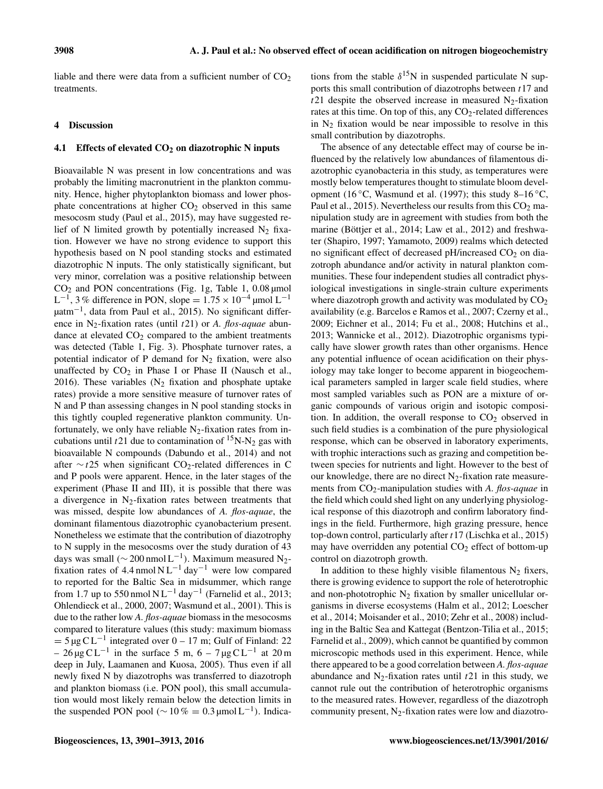liable and there were data from a sufficient number of  $CO<sub>2</sub>$ treatments.

## 4 Discussion

## 4.1 Effects of elevated  $CO<sub>2</sub>$  on diazotrophic N inputs

Bioavailable N was present in low concentrations and was probably the limiting macronutrient in the plankton community. Hence, higher phytoplankton biomass and lower phosphate concentrations at higher  $CO<sub>2</sub>$  observed in this same mesocosm study (Paul et al., 2015), may have suggested relief of N limited growth by potentially increased  $N_2$  fixation. However we have no strong evidence to support this hypothesis based on N pool standing stocks and estimated diazotrophic N inputs. The only statistically significant, but very minor, correlation was a positive relationship between  $CO<sub>2</sub>$  and PON concentrations (Fig. 1g, Table 1, 0.08 µmol L<sup>-1</sup>, 3 % difference in PON, slope =  $1.75 \times 10^{-4}$  µmol L<sup>-1</sup> µatm<sup>-1</sup>, data from Paul et al., 2015). No significant difference in N<sub>2</sub>-fixation rates (until t<sub>21</sub>) or *A. flos-aquae* abundance at elevated CO<sub>2</sub> compared to the ambient treatments was detected (Table 1, Fig. 3). Phosphate turnover rates, a potential indicator of P demand for  $N_2$  fixation, were also unaffected by  $CO<sub>2</sub>$  in Phase I or Phase II (Nausch et al., 2016). These variables  $(N_2)$  fixation and phosphate uptake rates) provide a more sensitive measure of turnover rates of N and P than assessing changes in N pool standing stocks in this tightly coupled regenerative plankton community. Unfortunately, we only have reliable  $N_2$ -fixation rates from incubations until t21 due to contamination of  ${}^{15}N-N_2$  gas with bioavailable N compounds (Dabundo et al., 2014) and not after  $\sim t25$  when significant CO<sub>2</sub>-related differences in C and P pools were apparent. Hence, in the later stages of the experiment (Phase II and III), it is possible that there was a divergence in  $N_2$ -fixation rates between treatments that was missed, despite low abundances of *A. flos-aquae*, the dominant filamentous diazotrophic cyanobacterium present. Nonetheless we estimate that the contribution of diazotrophy to N supply in the mesocosms over the study duration of 43 days was small ( $\sim$  200 nmol L<sup>-1</sup>). Maximum measured N<sub>2</sub>fixation rates of 4.4 nmol  $NL^{-1}$  day<sup>-1</sup> were low compared to reported for the Baltic Sea in midsummer, which range from 1.7 up to 550 nmol NL<sup>-1</sup> day<sup>-1</sup> (Farnelid et al., 2013; Ohlendieck et al., 2000, 2007; Wasmund et al., 2001). This is due to the rather low *A. flos-aquae* biomass in the mesocosms compared to literature values (this study: maximum biomass  $= 5 \mu g C L^{-1}$  integrated over 0 – 17 m; Gulf of Finland: 22  $-26 \mu g CL^{-1}$  in the surface 5 m, 6 – 7 μg CL<sup>-1</sup> at 20 m deep in July, Laamanen and Kuosa, 2005). Thus even if all newly fixed N by diazotrophs was transferred to diazotroph and plankton biomass (i.e. PON pool), this small accumulation would most likely remain below the detection limits in the suspended PON pool ( $\sim$  10 % = 0.3 μmol L<sup>-1</sup>). Indica-

tions from the stable  $\delta^{15}$ N in suspended particulate N supports this small contribution of diazotrophs between  $t17$  and  $t21$  despite the observed increase in measured N<sub>2</sub>-fixation rates at this time. On top of this, any  $CO<sub>2</sub>$ -related differences in  $N_2$  fixation would be near impossible to resolve in this small contribution by diazotrophs.

The absence of any detectable effect may of course be influenced by the relatively low abundances of filamentous diazotrophic cyanobacteria in this study, as temperatures were mostly below temperatures thought to stimulate bloom development (16 °C, Wasmund et al. (1997); this study 8–16 °C, Paul et al., 2015). Nevertheless our results from this  $CO<sub>2</sub>$  manipulation study are in agreement with studies from both the marine (Böttjer et al., 2014; Law et al., 2012) and freshwater (Shapiro, 1997; Yamamoto, 2009) realms which detected no significant effect of decreased pH/increased  $CO<sub>2</sub>$  on diazotroph abundance and/or activity in natural plankton communities. These four independent studies all contradict physiological investigations in single-strain culture experiments where diazotroph growth and activity was modulated by  $CO<sub>2</sub>$ availability (e.g. Barcelos e Ramos et al., 2007; Czerny et al., 2009; Eichner et al., 2014; Fu et al., 2008; Hutchins et al., 2013; Wannicke et al., 2012). Diazotrophic organisms typically have slower growth rates than other organisms. Hence any potential influence of ocean acidification on their physiology may take longer to become apparent in biogeochemical parameters sampled in larger scale field studies, where most sampled variables such as PON are a mixture of organic compounds of various origin and isotopic composition. In addition, the overall response to  $CO<sub>2</sub>$  observed in such field studies is a combination of the pure physiological response, which can be observed in laboratory experiments, with trophic interactions such as grazing and competition between species for nutrients and light. However to the best of our knowledge, there are no direct  $N_2$ -fixation rate measurements from CO<sub>2</sub>-manipulation studies with *A. flos-aquae* in the field which could shed light on any underlying physiological response of this diazotroph and confirm laboratory findings in the field. Furthermore, high grazing pressure, hence top-down control, particularly after t17 (Lischka et al., 2015) may have overridden any potential  $CO<sub>2</sub>$  effect of bottom-up control on diazotroph growth.

In addition to these highly visible filamentous  $N_2$  fixers, there is growing evidence to support the role of heterotrophic and non-phototrophic  $N_2$  fixation by smaller unicellular organisms in diverse ecosystems (Halm et al., 2012; Loescher et al., 2014; Moisander et al., 2010; Zehr et al., 2008) including in the Baltic Sea and Kattegat (Bentzon-Tilia et al., 2015; Farnelid et al., 2009), which cannot be quantified by common microscopic methods used in this experiment. Hence, while there appeared to be a good correlation between *A. flos-aquae* abundance and  $N_2$ -fixation rates until  $t21$  in this study, we cannot rule out the contribution of heterotrophic organisms to the measured rates. However, regardless of the diazotroph community present,  $N_2$ -fixation rates were low and diazotro-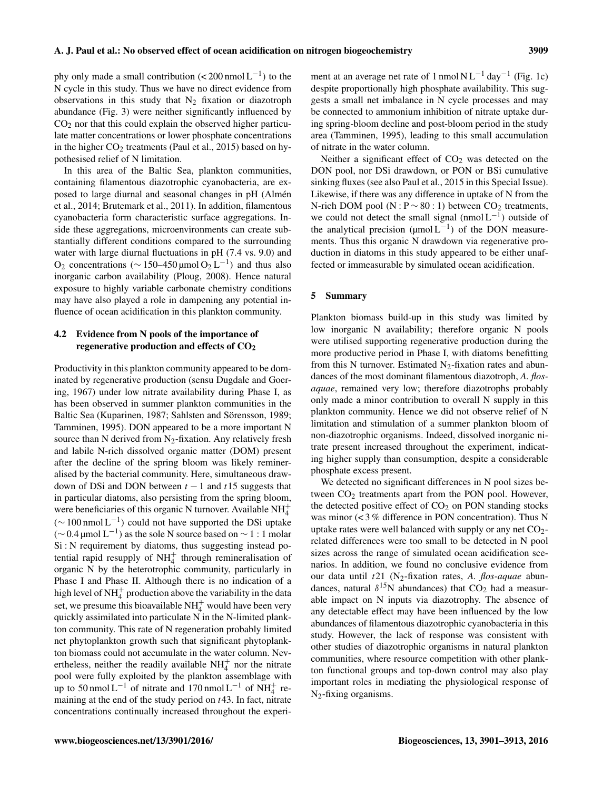phy only made a small contribution  $\left($ <200 nmol $L^{-1}$ ) to the N cycle in this study. Thus we have no direct evidence from observations in this study that  $N_2$  fixation or diazotroph abundance (Fig. 3) were neither significantly influenced by  $CO<sub>2</sub>$  nor that this could explain the observed higher particulate matter concentrations or lower phosphate concentrations in the higher  $CO<sub>2</sub>$  treatments (Paul et al., 2015) based on hypothesised relief of N limitation.

In this area of the Baltic Sea, plankton communities, containing filamentous diazotrophic cyanobacteria, are exposed to large diurnal and seasonal changes in pH (Almén et al., 2014; Brutemark et al., 2011). In addition, filamentous cyanobacteria form characteristic surface aggregations. Inside these aggregations, microenvironments can create substantially different conditions compared to the surrounding water with large diurnal fluctuations in pH (7.4 vs. 9.0) and O<sub>2</sub> concentrations ( $\sim$  150–450 μmol O<sub>2</sub> L<sup>-1</sup>) and thus also inorganic carbon availability (Ploug, 2008). Hence natural exposure to highly variable carbonate chemistry conditions may have also played a role in dampening any potential influence of ocean acidification in this plankton community.

# 4.2 Evidence from N pools of the importance of regenerative production and effects of  $CO<sub>2</sub>$

Productivity in this plankton community appeared to be dominated by regenerative production (sensu Dugdale and Goering, 1967) under low nitrate availability during Phase I, as has been observed in summer plankton communities in the Baltic Sea (Kuparinen, 1987; Sahlsten and Sörensson, 1989; Tamminen, 1995). DON appeared to be a more important N source than N derived from  $N_2$ -fixation. Any relatively fresh and labile N-rich dissolved organic matter (DOM) present after the decline of the spring bloom was likely remineralised by the bacterial community. Here, simultaneous drawdown of DSi and DON between  $t - 1$  and t15 suggests that in particular diatoms, also persisting from the spring bloom, were beneficiaries of this organic N turnover. Available NH<sup>+</sup><sub>4</sub>  $($  ~ 100 nmol L<sup>-1</sup>) could not have supported the DSi uptake ( $\sim$  0.4 µmol L<sup>-1</sup>) as the sole N source based on  $\sim$  1 : 1 molar Si : N requirement by diatoms, thus suggesting instead potential rapid resupply of  $NH<sub>4</sub><sup>+</sup>$  through remineralisation of organic N by the heterotrophic community, particularly in Phase I and Phase II. Although there is no indication of a high level of  $NH_4^+$  production above the variability in the data set, we presume this bioavailable  $NH<sub>4</sub><sup>+</sup>$  would have been very quickly assimilated into particulate N in the N-limited plankton community. This rate of N regeneration probably limited net phytoplankton growth such that significant phytoplankton biomass could not accumulate in the water column. Nevertheless, neither the readily available  $NH<sub>4</sub><sup>+</sup>$  nor the nitrate pool were fully exploited by the plankton assemblage with up to 50 nmol L<sup>-1</sup> of nitrate and 170 nmol L<sup>-1</sup> of NH<sub>4</sub><sup>+</sup> remaining at the end of the study period on  $t$ 43. In fact, nitrate concentrations continually increased throughout the experi-

ment at an average net rate of 1 nmol  $NL^{-1}$  day<sup>-1</sup> (Fig. 1c) despite proportionally high phosphate availability. This suggests a small net imbalance in N cycle processes and may be connected to ammonium inhibition of nitrate uptake during spring-bloom decline and post-bloom period in the study area (Tamminen, 1995), leading to this small accumulation of nitrate in the water column.

Neither a significant effect of  $CO<sub>2</sub>$  was detected on the DON pool, nor DSi drawdown, or PON or BSi cumulative sinking fluxes (see also Paul et al., 2015 in this Special Issue). Likewise, if there was any difference in uptake of N from the N-rich DOM pool (N :  $P \sim 80:1$ ) between CO<sub>2</sub> treatments, we could not detect the small signal  $(nmol L^{-1})$  outside of the analytical precision ( $\mu$ mol L<sup>-1</sup>) of the DON measurements. Thus this organic N drawdown via regenerative production in diatoms in this study appeared to be either unaffected or immeasurable by simulated ocean acidification.

#### 5 Summary

Plankton biomass build-up in this study was limited by low inorganic N availability; therefore organic N pools were utilised supporting regenerative production during the more productive period in Phase I, with diatoms benefitting from this N turnover. Estimated  $N_2$ -fixation rates and abundances of the most dominant filamentous diazotroph, *A. flosaquae*, remained very low; therefore diazotrophs probably only made a minor contribution to overall N supply in this plankton community. Hence we did not observe relief of N limitation and stimulation of a summer plankton bloom of non-diazotrophic organisms. Indeed, dissolved inorganic nitrate present increased throughout the experiment, indicating higher supply than consumption, despite a considerable phosphate excess present.

We detected no significant differences in N pool sizes between  $CO<sub>2</sub>$  treatments apart from the PON pool. However, the detected positive effect of  $CO<sub>2</sub>$  on PON standing stocks was minor (< 3 % difference in PON concentration). Thus N uptake rates were well balanced with supply or any net  $CO<sub>2</sub>$ related differences were too small to be detected in N pool sizes across the range of simulated ocean acidification scenarios. In addition, we found no conclusive evidence from our data until t21 (N2-fixation rates, *A. flos-aquae* abundances, natural  $\delta^{15}$ N abundances) that CO<sub>2</sub> had a measurable impact on N inputs via diazotrophy. The absence of any detectable effect may have been influenced by the low abundances of filamentous diazotrophic cyanobacteria in this study. However, the lack of response was consistent with other studies of diazotrophic organisms in natural plankton communities, where resource competition with other plankton functional groups and top-down control may also play important roles in mediating the physiological response of N2-fixing organisms.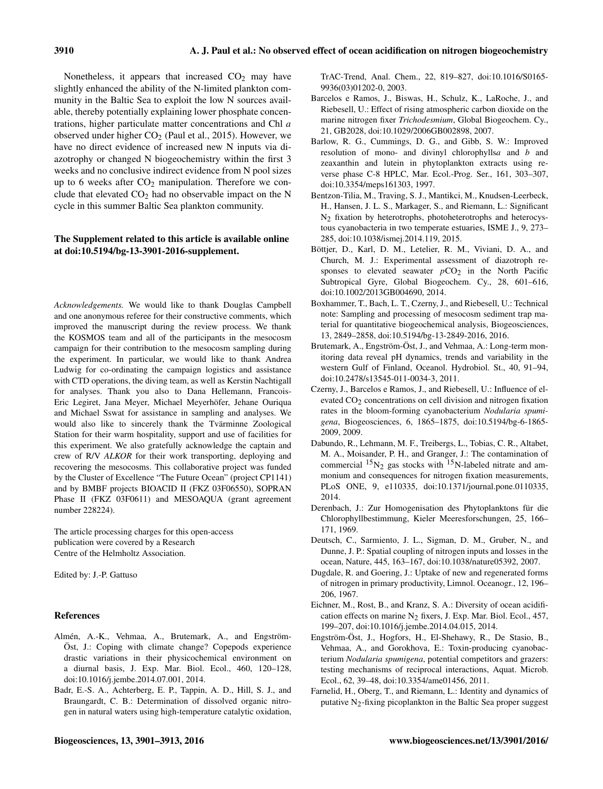Nonetheless, it appears that increased  $CO<sub>2</sub>$  may have slightly enhanced the ability of the N-limited plankton community in the Baltic Sea to exploit the low N sources available, thereby potentially explaining lower phosphate concentrations, higher particulate matter concentrations and Chl a observed under higher  $CO<sub>2</sub>$  (Paul et al., 2015). However, we have no direct evidence of increased new N inputs via diazotrophy or changed N biogeochemistry within the first 3 weeks and no conclusive indirect evidence from N pool sizes up to 6 weeks after  $CO<sub>2</sub>$  manipulation. Therefore we conclude that elevated  $CO<sub>2</sub>$  had no observable impact on the N cycle in this summer Baltic Sea plankton community.

# The Supplement related to this article is available online at [doi:10.5194/bg-13-3901-2016-supplement.](http://dx.doi.org/10.5194/bg-13-3901-2016-supplement)

*Acknowledgements.* We would like to thank Douglas Campbell and one anonymous referee for their constructive comments, which improved the manuscript during the review process. We thank the KOSMOS team and all of the participants in the mesocosm campaign for their contribution to the mesocosm sampling during the experiment. In particular, we would like to thank Andrea Ludwig for co-ordinating the campaign logistics and assistance with CTD operations, the diving team, as well as Kerstin Nachtigall for analyses. Thank you also to Dana Hellemann, Francois-Eric Legiret, Jana Meyer, Michael Meyerhöfer, Jehane Ouriqua and Michael Sswat for assistance in sampling and analyses. We would also like to sincerely thank the Tvärminne Zoological Station for their warm hospitality, support and use of facilities for this experiment. We also gratefully acknowledge the captain and crew of R/V *ALKOR* for their work transporting, deploying and recovering the mesocosms. This collaborative project was funded by the Cluster of Excellence "The Future Ocean" (project CP1141) and by BMBF projects BIOACID II (FKZ 03F06550), SOPRAN Phase II (FKZ 03F0611) and MESOAQUA (grant agreement number 228224).

The article processing charges for this open-access publication were covered by a Research Centre of the Helmholtz Association.

Edited by: J.-P. Gattuso

#### References

- Almén, A.-K., Vehmaa, A., Brutemark, A., and Engström-Öst, J.: Coping with climate change? Copepods experience drastic variations in their physicochemical environment on a diurnal basis, J. Exp. Mar. Biol. Ecol., 460, 120–128, doi[:10.1016/j.jembe.2014.07.001,](http://dx.doi.org/10.1016/j.jembe.2014.07.001) 2014.
- Badr, E.-S. A., Achterberg, E. P., Tappin, A. D., Hill, S. J., and Braungardt, C. B.: Determination of dissolved organic nitrogen in natural waters using high-temperature catalytic oxidation,

TrAC-Trend, Anal. Chem., 22, 819–827, doi[:10.1016/S0165-](http://dx.doi.org/10.1016/S0165-9936(03)01202-0) [9936\(03\)01202-0,](http://dx.doi.org/10.1016/S0165-9936(03)01202-0) 2003.

- Barcelos e Ramos, J., Biswas, H., Schulz, K., LaRoche, J., and Riebesell, U.: Effect of rising atmospheric carbon dioxide on the marine nitrogen fixer *Trichodesmium*, Global Biogeochem. Cy., 21, GB2028, doi[:10.1029/2006GB002898,](http://dx.doi.org/10.1029/2006GB002898) 2007.
- Barlow, R. G., Cummings, D. G., and Gibb, S. W.: Improved resolution of mono- and divinyl chlorophyllsa and b and zeaxanthin and lutein in phytoplankton extracts using reverse phase C-8 HPLC, Mar. Ecol.-Prog. Ser., 161, 303–307, doi[:10.3354/meps161303,](http://dx.doi.org/10.3354/meps161303) 1997.
- Bentzon-Tilia, M., Traving, S. J., Mantikci, M., Knudsen-Leerbeck, H., Hansen, J. L. S., Markager, S., and Riemann, L.: Significant N<sub>2</sub> fixation by heterotrophs, photoheterotrophs and heterocystous cyanobacteria in two temperate estuaries, ISME J., 9, 273– 285, doi[:10.1038/ismej.2014.119,](http://dx.doi.org/10.1038/ismej.2014.119) 2015.
- Böttjer, D., Karl, D. M., Letelier, R. M., Viviani, D. A., and Church, M. J.: Experimental assessment of diazotroph responses to elevated seawater  $pCO<sub>2</sub>$  in the North Pacific Subtropical Gyre, Global Biogeochem. Cy., 28, 601–616, doi[:10.1002/2013GB004690,](http://dx.doi.org/10.1002/2013GB004690) 2014.
- Boxhammer, T., Bach, L. T., Czerny, J., and Riebesell, U.: Technical note: Sampling and processing of mesocosm sediment trap material for quantitative biogeochemical analysis, Biogeosciences, 13, 2849–2858, doi[:10.5194/bg-13-2849-2016,](http://dx.doi.org/10.5194/bg-13-2849-2016) 2016.
- Brutemark, A., Engström-Öst, J., and Vehmaa, A.: Long-term monitoring data reveal pH dynamics, trends and variability in the western Gulf of Finland, Oceanol. Hydrobiol. St., 40, 91–94, doi[:10.2478/s13545-011-0034-3,](http://dx.doi.org/10.2478/s13545-011-0034-3) 2011.
- Czerny, J., Barcelos e Ramos, J., and Riebesell, U.: Influence of elevated CO<sub>2</sub> concentrations on cell division and nitrogen fixation rates in the bloom-forming cyanobacterium *Nodularia spumigena*, Biogeosciences, 6, 1865–1875, doi[:10.5194/bg-6-1865-](http://dx.doi.org/10.5194/bg-6-1865-2009) [2009,](http://dx.doi.org/10.5194/bg-6-1865-2009) 2009.
- Dabundo, R., Lehmann, M. F., Treibergs, L., Tobias, C. R., Altabet, M. A., Moisander, P. H., and Granger, J.: The contamination of commercial  $^{15}N_2$  gas stocks with  $^{15}N$ -labeled nitrate and ammonium and consequences for nitrogen fixation measurements, PLoS ONE, 9, e110335, doi[:10.1371/journal.pone.0110335,](http://dx.doi.org/10.1371/journal.pone.0110335) 2014.
- Derenbach, J.: Zur Homogenisation des Phytoplanktons für die Chlorophyllbestimmung, Kieler Meeresforschungen, 25, 166– 171, 1969.
- Deutsch, C., Sarmiento, J. L., Sigman, D. M., Gruber, N., and Dunne, J. P.: Spatial coupling of nitrogen inputs and losses in the ocean, Nature, 445, 163–167, doi[:10.1038/nature05392,](http://dx.doi.org/10.1038/nature05392) 2007.
- Dugdale, R. and Goering, J.: Uptake of new and regenerated forms of nitrogen in primary productivity, Limnol. Oceanogr., 12, 196– 206, 1967.
- Eichner, M., Rost, B., and Kranz, S. A.: Diversity of ocean acidification effects on marine N<sub>2</sub> fixers, J. Exp. Mar. Biol. Ecol., 457, 199–207, doi[:10.1016/j.jembe.2014.04.015,](http://dx.doi.org/10.1016/j.jembe.2014.04.015) 2014.
- Engström-Öst, J., Hogfors, H., El-Shehawy, R., De Stasio, B., Vehmaa, A., and Gorokhova, E.: Toxin-producing cyanobacterium *Nodularia spumigena*, potential competitors and grazers: testing mechanisms of reciprocal interactions, Aquat. Microb. Ecol., 62, 39–48, doi[:10.3354/ame01456,](http://dx.doi.org/10.3354/ame01456) 2011.
- Farnelid, H., Oberg, T., and Riemann, L.: Identity and dynamics of putative  $N_2$ -fixing picoplankton in the Baltic Sea proper suggest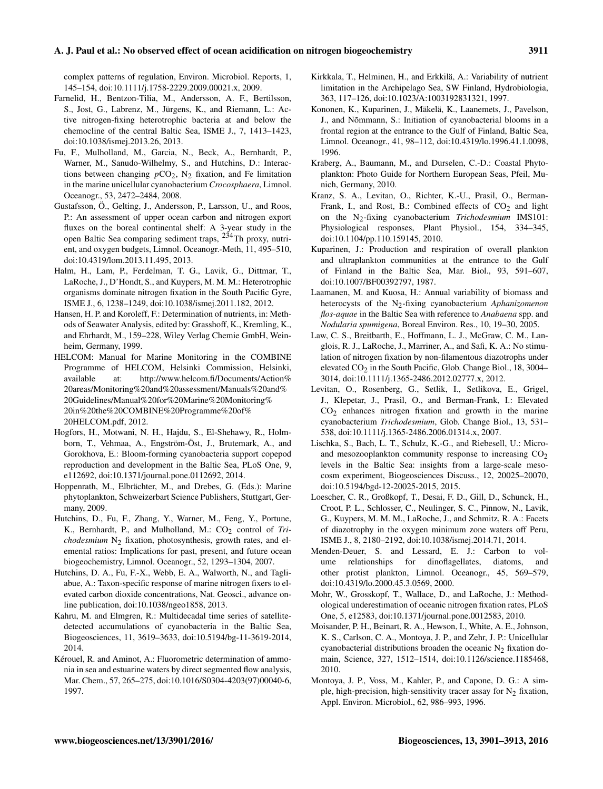complex patterns of regulation, Environ. Microbiol. Reports, 1, 145–154, doi[:10.1111/j.1758-2229.2009.00021.x,](http://dx.doi.org/10.1111/j.1758-2229.2009.00021.x) 2009.

- Farnelid, H., Bentzon-Tilia, M., Andersson, A. F., Bertilsson, S., Jost, G., Labrenz, M., Jürgens, K., and Riemann, L.: Active nitrogen-fixing heterotrophic bacteria at and below the chemocline of the central Baltic Sea, ISME J., 7, 1413–1423, doi[:10.1038/ismej.2013.26,](http://dx.doi.org/10.1038/ismej.2013.26) 2013.
- Fu, F., Mulholland, M., Garcia, N., Beck, A., Bernhardt, P., Warner, M., Sanudo-Wilhelmy, S., and Hutchins, D.: Interactions between changing  $pCO_2$ , N<sub>2</sub> fixation, and Fe limitation in the marine unicellular cyanobacterium *Crocosphaera*, Limnol. Oceanogr., 53, 2472–2484, 2008.
- Gustafsson, Ö., Gelting, J., Andersson, P., Larsson, U., and Roos, P.: An assessment of upper ocean carbon and nitrogen export fluxes on the boreal continental shelf: A 3-year study in the open Baltic Sea comparing sediment traps, <sup>234</sup>Th proxy, nutrient, and oxygen budgets, Limnol. Oceanogr.-Meth, 11, 495–510, doi[:10.4319/lom.2013.11.495,](http://dx.doi.org/10.4319/lom.2013.11.495) 2013.
- Halm, H., Lam, P., Ferdelman, T. G., Lavik, G., Dittmar, T., LaRoche, J., D'Hondt, S., and Kuypers, M. M. M.: Heterotrophic organisms dominate nitrogen fixation in the South Pacific Gyre, ISME J., 6, 1238–1249, doi[:10.1038/ismej.2011.182,](http://dx.doi.org/10.1038/ismej.2011.182) 2012.
- Hansen, H. P. and Koroleff, F.: Determination of nutrients, in: Methods of Seawater Analysis, edited by: Grasshoff, K., Kremling, K., and Ehrhardt, M., 159–228, Wiley Verlag Chemie GmbH, Weinheim, Germany, 1999.
- HELCOM: Manual for Marine Monitoring in the COMBINE Programme of HELCOM, Helsinki Commission, Helsinki, available at: [http://www.helcom.fi/Documents/Action%](http://www.helcom.fi/Documents/Action%20areas/Monitoring%20and%20assessment/Manuals%20and%20Guidelines/Manual%20for%20Marine%20Monitoring%20in%20the%20COMBINE%20Programme%20of%20HELCOM.pdf) [20areas/Monitoring%20and%20assessment/Manuals%20and%](http://www.helcom.fi/Documents/Action%20areas/Monitoring%20and%20assessment/Manuals%20and%20Guidelines/Manual%20for%20Marine%20Monitoring%20in%20the%20COMBINE%20Programme%20of%20HELCOM.pdf) [20Guidelines/Manual%20for%20Marine%20Monitoring%](http://www.helcom.fi/Documents/Action%20areas/Monitoring%20and%20assessment/Manuals%20and%20Guidelines/Manual%20for%20Marine%20Monitoring%20in%20the%20COMBINE%20Programme%20of%20HELCOM.pdf) [20in%20the%20COMBINE%20Programme%20of%](http://www.helcom.fi/Documents/Action%20areas/Monitoring%20and%20assessment/Manuals%20and%20Guidelines/Manual%20for%20Marine%20Monitoring%20in%20the%20COMBINE%20Programme%20of%20HELCOM.pdf) [20HELCOM.pdf,](http://www.helcom.fi/Documents/Action%20areas/Monitoring%20and%20assessment/Manuals%20and%20Guidelines/Manual%20for%20Marine%20Monitoring%20in%20the%20COMBINE%20Programme%20of%20HELCOM.pdf) 2012.
- Hogfors, H., Motwani, N. H., Hajdu, S., El-Shehawy, R., Holmborn, T., Vehmaa, A., Engström-Öst, J., Brutemark, A., and Gorokhova, E.: Bloom-forming cyanobacteria support copepod reproduction and development in the Baltic Sea, PLoS One, 9, e112692, doi[:10.1371/journal.pone.0112692,](http://dx.doi.org/10.1371/journal.pone.0112692) 2014.
- Hoppenrath, M., Elbrächter, M., and Drebes, G. (Eds.): Marine phytoplankton, Schweizerbart Science Publishers, Stuttgart, Germany, 2009.
- Hutchins, D., Fu, F., Zhang, Y., Warner, M., Feng, Y., Portune, K., Bernhardt, P., and Mulholland, M.: CO<sub>2</sub> control of *Tri* $chodesmium$   $N_2$  fixation, photosynthesis, growth rates, and elemental ratios: Implications for past, present, and future ocean biogeochemistry, Limnol. Oceanogr., 52, 1293–1304, 2007.
- Hutchins, D. A., Fu, F.-X., Webb, E. A., Walworth, N., and Tagliabue, A.: Taxon-specific response of marine nitrogen fixers to elevated carbon dioxide concentrations, Nat. Geosci., advance online publication, doi[:10.1038/ngeo1858,](http://dx.doi.org/10.1038/ngeo1858) 2013.
- Kahru, M. and Elmgren, R.: Multidecadal time series of satellitedetected accumulations of cyanobacteria in the Baltic Sea, Biogeosciences, 11, 3619–3633, doi[:10.5194/bg-11-3619-2014,](http://dx.doi.org/10.5194/bg-11-3619-2014) 2014.
- Kérouel, R. and Aminot, A.: Fluorometric determination of ammonia in sea and estuarine waters by direct segmented flow analysis, Mar. Chem., 57, 265–275, doi[:10.1016/S0304-4203\(97\)00040-6,](http://dx.doi.org/10.1016/S0304-4203(97)00040-6) 1997.
- Kirkkala, T., Helminen, H., and Erkkilä, A.: Variability of nutrient limitation in the Archipelago Sea, SW Finland, Hydrobiologia, 363, 117–126, doi[:10.1023/A:1003192831321,](http://dx.doi.org/10.1023/A:1003192831321) 1997.
- Kononen, K., Kuparinen, J., Mäkelä, K., Laanemets, J., Pavelson, J., and Nõmmann, S.: Initiation of cyanobacterial blooms in a frontal region at the entrance to the Gulf of Finland, Baltic Sea, Limnol. Oceanogr., 41, 98–112, doi[:10.4319/lo.1996.41.1.0098,](http://dx.doi.org/10.4319/lo.1996.41.1.0098) 1996.
- Kraberg, A., Baumann, M., and Durselen, C.-D.: Coastal Phytoplankton: Photo Guide for Northern European Seas, Pfeil, Munich, Germany, 2010.
- Kranz, S. A., Levitan, O., Richter, K.-U., Prasil, O., Berman-Frank, I., and Rost, B.: Combined effects of  $CO<sub>2</sub>$  and light on the N2-fixing cyanobacterium *Trichodesmium* IMS101: Physiological responses, Plant Physiol., 154, 334–345, doi[:10.1104/pp.110.159145,](http://dx.doi.org/10.1104/pp.110.159145) 2010.
- Kuparinen, J.: Production and respiration of overall plankton and ultraplankton communities at the entrance to the Gulf of Finland in the Baltic Sea, Mar. Biol., 93, 591–607, doi[:10.1007/BF00392797,](http://dx.doi.org/10.1007/BF00392797) 1987.
- Laamanen, M. and Kuosa, H.: Annual variability of biomass and heterocysts of the N2-fixing cyanobacterium *Aphanizomenon flos-aquae* in the Baltic Sea with reference to *Anabaena* spp. and *Nodularia spumigena*, Boreal Environ. Res., 10, 19–30, 2005.
- Law, C. S., Breitbarth, E., Hoffmann, L. J., McGraw, C. M., Langlois, R. J., LaRoche, J., Marriner, A., and Safi, K. A.: No stimulation of nitrogen fixation by non-filamentous diazotrophs under elevated  $CO<sub>2</sub>$  in the South Pacific, Glob. Change Biol., 18, 3004– 3014, doi[:10.1111/j.1365-2486.2012.02777.x,](http://dx.doi.org/10.1111/j.1365-2486.2012.02777.x) 2012.
- Levitan, O., Rosenberg, G., Setlik, I., Setlikova, E., Grigel, J., Klepetar, J., Prasil, O., and Berman-Frank, I.: Elevated  $CO<sub>2</sub>$  enhances nitrogen fixation and growth in the marine cyanobacterium *Trichodesmium*, Glob. Change Biol., 13, 531– 538, doi[:10.1111/j.1365-2486.2006.01314.x,](http://dx.doi.org/10.1111/j.1365-2486.2006.01314.x) 2007.
- Lischka, S., Bach, L. T., Schulz, K.-G., and Riebesell, U.: Microand mesozooplankton community response to increasing  $CO<sub>2</sub>$ levels in the Baltic Sea: insights from a large-scale mesocosm experiment, Biogeosciences Discuss., 12, 20025–20070, doi[:10.5194/bgd-12-20025-2015,](http://dx.doi.org/10.5194/bgd-12-20025-2015) 2015.
- Loescher, C. R., Großkopf, T., Desai, F. D., Gill, D., Schunck, H., Croot, P. L., Schlosser, C., Neulinger, S. C., Pinnow, N., Lavik, G., Kuypers, M. M. M., LaRoche, J., and Schmitz, R. A.: Facets of diazotrophy in the oxygen minimum zone waters off Peru, ISME J., 8, 2180–2192, doi[:10.1038/ismej.2014.71,](http://dx.doi.org/10.1038/ismej.2014.71) 2014.
- Menden-Deuer, S. and Lessard, E. J.: Carbon to volume relationships for dinoflagellates, diatoms, and other protist plankton, Limnol. Oceanogr., 45, 569–579, doi[:10.4319/lo.2000.45.3.0569,](http://dx.doi.org/10.4319/lo.2000.45.3.0569) 2000.
- Mohr, W., Grosskopf, T., Wallace, D., and LaRoche, J.: Methodological underestimation of oceanic nitrogen fixation rates, PLoS One, 5, e12583, doi[:10.1371/journal.pone.0012583,](http://dx.doi.org/10.1371/journal.pone.0012583) 2010.
- Moisander, P. H., Beinart, R. A., Hewson, I., White, A. E., Johnson, K. S., Carlson, C. A., Montoya, J. P., and Zehr, J. P.: Unicellular cyanobacterial distributions broaden the oceanic  $N_2$  fixation domain, Science, 327, 1512–1514, doi[:10.1126/science.1185468,](http://dx.doi.org/10.1126/science.1185468) 2010.
- Montoya, J. P., Voss, M., Kahler, P., and Capone, D. G.: A simple, high-precision, high-sensitivity tracer assay for  $N_2$  fixation, Appl. Environ. Microbiol., 62, 986–993, 1996.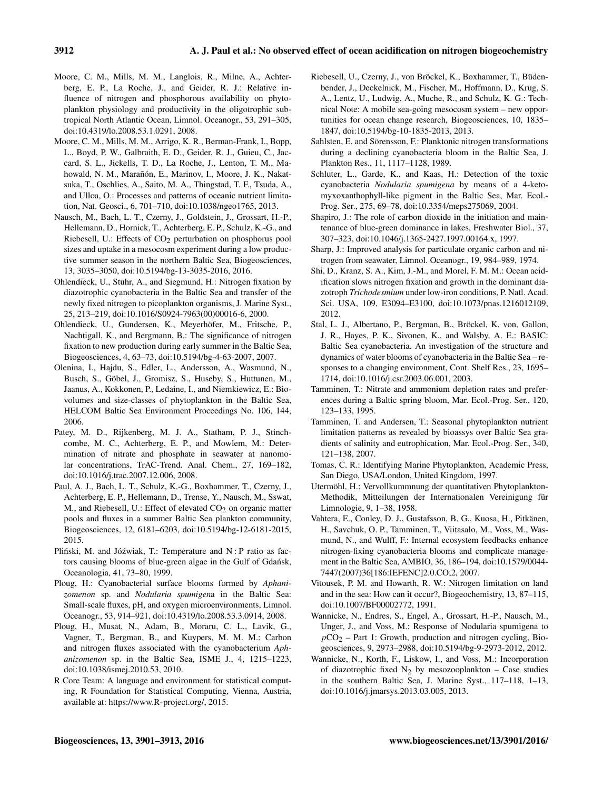- Moore, C. M., Mills, M. M., Langlois, R., Milne, A., Achterberg, E. P., La Roche, J., and Geider, R. J.: Relative influence of nitrogen and phosphorous availability on phytoplankton physiology and productivity in the oligotrophic subtropical North Atlantic Ocean, Limnol. Oceanogr., 53, 291–305, doi[:10.4319/lo.2008.53.1.0291,](http://dx.doi.org/10.4319/lo.2008.53.1.0291) 2008.
- Moore, C. M., Mills, M. M., Arrigo, K. R., Berman-Frank, I., Bopp, L., Boyd, P. W., Galbraith, E. D., Geider, R. J., Guieu, C., Jaccard, S. L., Jickells, T. D., La Roche, J., Lenton, T. M., Mahowald, N. M., Marañón, E., Marinov, I., Moore, J. K., Nakatsuka, T., Oschlies, A., Saito, M. A., Thingstad, T. F., Tsuda, A., and Ulloa, O.: Processes and patterns of oceanic nutrient limitation, Nat. Geosci., 6, 701–710, doi[:10.1038/ngeo1765,](http://dx.doi.org/10.1038/ngeo1765) 2013.
- Nausch, M., Bach, L. T., Czerny, J., Goldstein, J., Grossart, H.-P., Hellemann, D., Hornick, T., Achterberg, E. P., Schulz, K.-G., and Riebesell, U.: Effects of CO<sub>2</sub> perturbation on phosphorus pool sizes and uptake in a mesocosm experiment during a low productive summer season in the northern Baltic Sea, Biogeosciences, 13, 3035–3050, doi[:10.5194/bg-13-3035-2016,](http://dx.doi.org/10.5194/bg-13-3035-2016) 2016.
- Ohlendieck, U., Stuhr, A., and Siegmund, H.: Nitrogen fixation by diazotrophic cyanobacteria in the Baltic Sea and transfer of the newly fixed nitrogen to picoplankton organisms, J. Marine Syst., 25, 213–219, doi[:10.1016/S0924-7963\(00\)00016-6,](http://dx.doi.org/10.1016/S0924-7963(00)00016-6) 2000.
- Ohlendieck, U., Gundersen, K., Meyerhöfer, M., Fritsche, P., Nachtigall, K., and Bergmann, B.: The significance of nitrogen fixation to new production during early summer in the Baltic Sea, Biogeosciences, 4, 63–73, doi[:10.5194/bg-4-63-2007,](http://dx.doi.org/10.5194/bg-4-63-2007) 2007.
- Olenina, I., Hajdu, S., Edler, L., Andersson, A., Wasmund, N., Busch, S., Göbel, J., Gromisz, S., Huseby, S., Huttunen, M., Jaanus, A., Kokkonen, P., Ledaine, I., and Niemkiewicz, E.: Biovolumes and size-classes of phytoplankton in the Baltic Sea, HELCOM Baltic Sea Environment Proceedings No. 106, 144, 2006.
- Patey, M. D., Rijkenberg, M. J. A., Statham, P. J., Stinchcombe, M. C., Achterberg, E. P., and Mowlem, M.: Determination of nitrate and phosphate in seawater at nanomolar concentrations, TrAC-Trend. Anal. Chem., 27, 169–182, doi[:10.1016/j.trac.2007.12.006,](http://dx.doi.org/10.1016/j.trac.2007.12.006) 2008.
- Paul, A. J., Bach, L. T., Schulz, K.-G., Boxhammer, T., Czerny, J., Achterberg, E. P., Hellemann, D., Trense, Y., Nausch, M., Sswat, M., and Riebesell, U.: Effect of elevated  $CO<sub>2</sub>$  on organic matter pools and fluxes in a summer Baltic Sea plankton community, Biogeosciences, 12, 6181–6203, doi[:10.5194/bg-12-6181-2015,](http://dx.doi.org/10.5194/bg-12-6181-2015) 2015.
- Pliński, M. and Jóźwiak, T.: Temperature and N : P ratio as factors causing blooms of blue-green algae in the Gulf of Gdańsk, Oceanologia, 41, 73–80, 1999.
- Ploug, H.: Cyanobacterial surface blooms formed by *Aphanizomenon* sp. and *Nodularia spumigen*a in the Baltic Sea: Small-scale fluxes, pH, and oxygen microenvironments, Limnol. Oceanogr., 53, 914–921, doi[:10.4319/lo.2008.53.3.0914,](http://dx.doi.org/10.4319/lo.2008.53.3.0914) 2008.
- Ploug, H., Musat, N., Adam, B., Moraru, C. L., Lavik, G., Vagner, T., Bergman, B., and Kuypers, M. M. M.: Carbon and nitrogen fluxes associated with the cyanobacterium *Aphanizomenon* sp. in the Baltic Sea, ISME J., 4, 1215–1223, doi[:10.1038/ismej.2010.53,](http://dx.doi.org/10.1038/ismej.2010.53) 2010.
- R Core Team: A language and environment for statistical computing, R Foundation for Statistical Computing, Vienna, Austria, available at: [https://www.R-project.org/,](https://www.R-project.org/) 2015.
- Riebesell, U., Czerny, J., von Bröckel, K., Boxhammer, T., Büdenbender, J., Deckelnick, M., Fischer, M., Hoffmann, D., Krug, S. A., Lentz, U., Ludwig, A., Muche, R., and Schulz, K. G.: Technical Note: A mobile sea-going mesocosm system – new opportunities for ocean change research, Biogeosciences, 10, 1835– 1847, doi[:10.5194/bg-10-1835-2013,](http://dx.doi.org/10.5194/bg-10-1835-2013) 2013.
- Sahlsten, E. and Sörensson, F.: Planktonic nitrogen transformations during a declining cyanobacteria bloom in the Baltic Sea, J. Plankton Res., 11, 1117–1128, 1989.
- Schluter, L., Garde, K., and Kaas, H.: Detection of the toxic cyanobacteria *Nodularia spumigena* by means of a 4-ketomyxoxanthophyll-like pigment in the Baltic Sea, Mar. Ecol.- Prog. Ser., 275, 69–78, doi[:10.3354/meps275069,](http://dx.doi.org/10.3354/meps275069) 2004.
- Shapiro, J.: The role of carbon dioxide in the initiation and maintenance of blue-green dominance in lakes, Freshwater Biol., 37, 307–323, doi[:10.1046/j.1365-2427.1997.00164.x,](http://dx.doi.org/10.1046/j.1365-2427.1997.00164.x) 1997.
- Sharp, J.: Improved analysis for particulate organic carbon and nitrogen from seawater, Limnol. Oceanogr., 19, 984–989, 1974.
- Shi, D., Kranz, S. A., Kim, J.-M., and Morel, F. M. M.: Ocean acidification slows nitrogen fixation and growth in the dominant diazotroph *Trichodesmium* under low-iron conditions, P. Natl. Acad. Sci. USA, 109, E3094–E3100, doi[:10.1073/pnas.1216012109,](http://dx.doi.org/10.1073/pnas.1216012109) 2012.
- Stal, L. J., Albertano, P., Bergman, B., Bröckel, K. von, Gallon, J. R., Hayes, P. K., Sivonen, K., and Walsby, A. E.: BASIC: Baltic Sea cyanobacteria. An investigation of the structure and dynamics of water blooms of cyanobacteria in the Baltic Sea – responses to a changing environment, Cont. Shelf Res., 23, 1695– 1714, doi[:10.1016/j.csr.2003.06.001,](http://dx.doi.org/10.1016/j.csr.2003.06.001) 2003.
- Tamminen, T.: Nitrate and ammonium depletion rates and preferences during a Baltic spring bloom, Mar. Ecol.-Prog. Ser., 120, 123–133, 1995.
- Tamminen, T. and Andersen, T.: Seasonal phytoplankton nutrient limitation patterns as revealed by bioassys over Baltic Sea gradients of salinity and eutrophication, Mar. Ecol.-Prog. Ser., 340, 121–138, 2007.
- Tomas, C. R.: Identifying Marine Phytoplankton, Academic Press, San Diego, USA/London, United Kingdom, 1997.
- Utermöhl, H.: Vervollkummnung der quantitativen Phytoplankton-Methodik, Mitteilungen der Internationalen Vereinigung für Limnologie, 9, 1–38, 1958.
- Vahtera, E., Conley, D. J., Gustafsson, B. G., Kuosa, H., Pitkänen, H., Savchuk, O. P., Tamminen, T., Viitasalo, M., Voss, M., Wasmund, N., and Wulff, F.: Internal ecosystem feedbacks enhance nitrogen-fixing cyanobacteria blooms and complicate management in the Baltic Sea, AMBIO, 36, 186–194, doi[:10.1579/0044-](http://dx.doi.org/10.1579/0044-7447(2007)36[186:IEFENC]2.0.CO;2) [7447\(2007\)36\[186:IEFENC\]2.0.CO;2,](http://dx.doi.org/10.1579/0044-7447(2007)36[186:IEFENC]2.0.CO;2) 2007.
- Vitousek, P. M. and Howarth, R. W.: Nitrogen limitation on land and in the sea: How can it occur?, Biogeochemistry, 13, 87–115, doi[:10.1007/BF00002772,](http://dx.doi.org/10.1007/BF00002772) 1991.
- Wannicke, N., Endres, S., Engel, A., Grossart, H.-P., Nausch, M., Unger, J., and Voss, M.: Response of Nodularia spumigena to  $pCO<sub>2</sub>$  – Part 1: Growth, production and nitrogen cycling, Biogeosciences, 9, 2973–2988, doi[:10.5194/bg-9-2973-2012,](http://dx.doi.org/10.5194/bg-9-2973-2012) 2012.
- Wannicke, N., Korth, F., Liskow, I., and Voss, M.: Incorporation of diazotrophic fixed  $N_2$  by mesozooplankton – Case studies in the southern Baltic Sea, J. Marine Syst., 117–118, 1–13, doi[:10.1016/j.jmarsys.2013.03.005,](http://dx.doi.org/10.1016/j.jmarsys.2013.03.005) 2013.